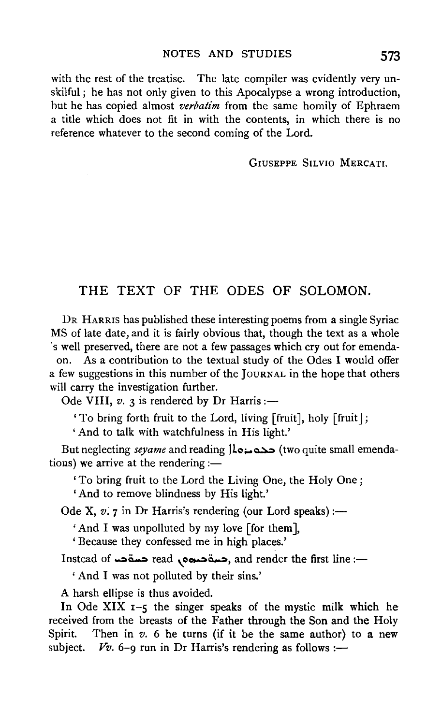with the rest of the treatise. The late compiler was evidently very unskilful; he has not only given to this Apocalypse a wrong introduction, but he has copied almost *verbatim* from the same homily of Ephraem a title which does not fit in with the contents, in which there is no reference whatever to the second coming of the Lord.

GIUSEPPE SILVIO MERCATI.

## THE TEXT OF THE ODES OF SOLOMON.

DR HARRIS has published these interesting poems from a single Syriac MS of late date, and it is fairly obvious that, though the text as a whole ·swell preserved, there are not a few passages which cry out for emenda-

on. As a contribution to the textual study of the Odes I would offer a few suggestions in this number of the JouRNAL in the hope that others will carry the investigation further.

Ode VIII,  $v.$  3 is rendered by Dr Harris :-

'To bring forth fruit to the Lord, living [fruit], holy [fruit J;

'And to talk with watchfulness in His light.'

But neglecting *seyame* and reading  $\lambda_0$   $\rightarrow$  (two quite small emendatious) we arrive at the rendering  $:$ 

'To bring fruit to the Lord the Living One, the Holy One;

'And to remove blindness by His light.'

Ode X,  $v.7$  in Dr Harris's rendering (our Lord speaks):—

'And I was unpolluted by my love [for them],

'Because they confessed me in high places.'

Instead of حسة read ,حسة حسة read , and render the first line :-

' And I was not polluted by their sins.'

A harsh ellipse is thus avoided.

In Ode XIX  $I - 5$  the singer speaks of the mystic milk which he received from the breasts of the Father through the Son and the Holy Spirit. Then in  $v$ . 6 he turns (if it be the same author) to a new subject.  $Vv. 6-\rho$  run in Dr Harris's rendering as follows :-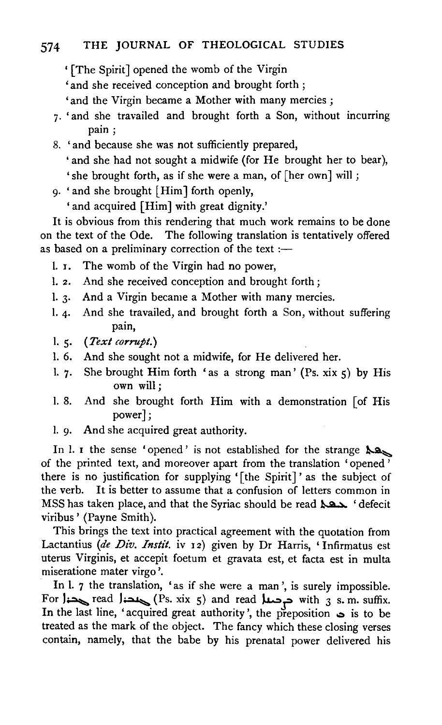- '[The Spirit] opened the womb of the Virgin
- 'and she received conception and brought forth ;
- 'and the Virgin became a Mother with many mercies ;
- 7· 'and she travailed and brought forth a Son, without incurring pain;
- 8. ' and because she was not sufficiently prepared,
	- 'and she had not sought a midwife (for He brought her to bear), ' she brought forth, as if she were a man, of [her own] will ;
- 9· 'and she brought [Him] forth openly,
	- 'and acquired [Him] with great dignity.'

It is obvious from this rendering that much work remains to be done on the text of the Ode. The following translation is tentatively offered as based on a preliminary correction of the text  $:$ 

- 1. I. The womb of the Virgin had no power,
- l. 2. And she received conception and brought forth;
- l. 3· And a Virgin became a Mother with many mercies.
- l. 4· And she travailed, and brought forth a Son, without suffering pain,
- l. S· *(Text corrupt.)*
- l. 6. And she sought not a midwife, for He delivered her.
- 1. 7. She brought Him forth 'as a strong man' (Ps. xix  $5$ ) by His own will;
- I. 8. And she brought forth Him with a demonstration [of His power];
- 1. 9. And she acquired great authority.

In l. 1 the sense 'opened' is not established for the strange  $\lambda$ of the printed text, and moreover apart from the translation ' opened ' there is no justification for supplying '[the Spirit]' as the subject of the verb. It is better to assume that a confusion of letters common in MSS has taken place, and that the Syriac should be read  $\lambda$ 22 'defecit viribus' (Payne Smith).

This brings the text into practical agreement with the quotation from Lactantius *(de Div. Instil.* iv 12) given by Dr Harris, 'Infirmatus est uterus Virginis, et accepit foetum et gravata est, et facta est in multa miseratione mater virgo '.

In l. 7 the translation, 'as if she were a man', is surely impossible. For  $|$  read  $|$  read  $|$  read  $|$  read  $|$  read  $|$  read  $|$  read  $|$  and read  $|$  read  $|$  s. m. suffix. In the last line, 'acquired great authority', the preposition  $\infty$  is to be treated as the mark of the object. The fancy which these closing verses contain, namely, that the babe by his prenatal power delivered his